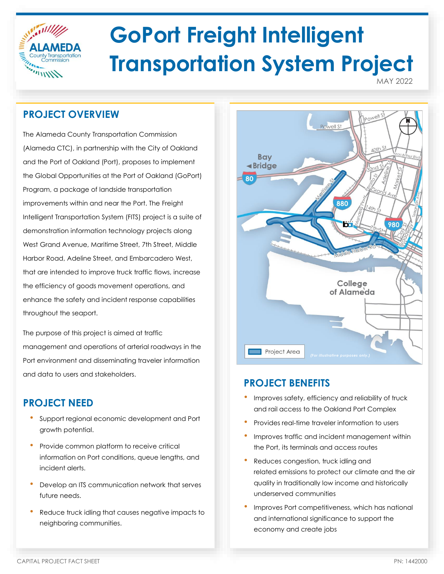

# **GoPort Freight Intelligent Transportation System Project**

MAY 2022

## **PROJECT OVERVIEW**

The Alameda County Transportation Commission (Alameda CTC), in partnership with the City of Oakland and the Port of Oakland (Port), proposes to implement the Global Opportunities at the Port of Oakland (GoPort) Program, a package of landside transportation improvements within and near the Port. The Freight Intelligent Transportation System (FITS) project is a suite of demonstration information technology projects along West Grand Avenue, Maritime Street, 7th Street, Middle Harbor Road, Adeline Street, and Embarcadero West, that are intended to improve truck traffic flows, increase the efficiency of goods movement operations, and enhance the safety and incident response capabilities throughout the seaport.

The purpose of this project is aimed at traffic management and operations of arterial roadways in the Port environment and disseminating traveler information and data to users and stakeholders.

## **PROJECT NEED**

- Support regional economic development and Port growth potential.
- Provide common platform to receive critical information on Port conditions, queue lengths, and incident alerts.
- Develop an ITS communication network that serves future needs.
- Reduce truck idling that causes negative impacts to neighboring communities.



## **PROJECT BENEFITS**

- Improves safety, efficiency and reliability of truck and rail access to the Oakland Port Complex
- Provides real-time traveler information to users
- Improves traffic and incident management within the Port, its terminals and access routes
- Reduces congestion, truck idling and related emissions to protect our climate and the air quality in traditionally low income and historically underserved communities
- Improves Port competitiveness, which has national and international significance to support the economy and create jobs